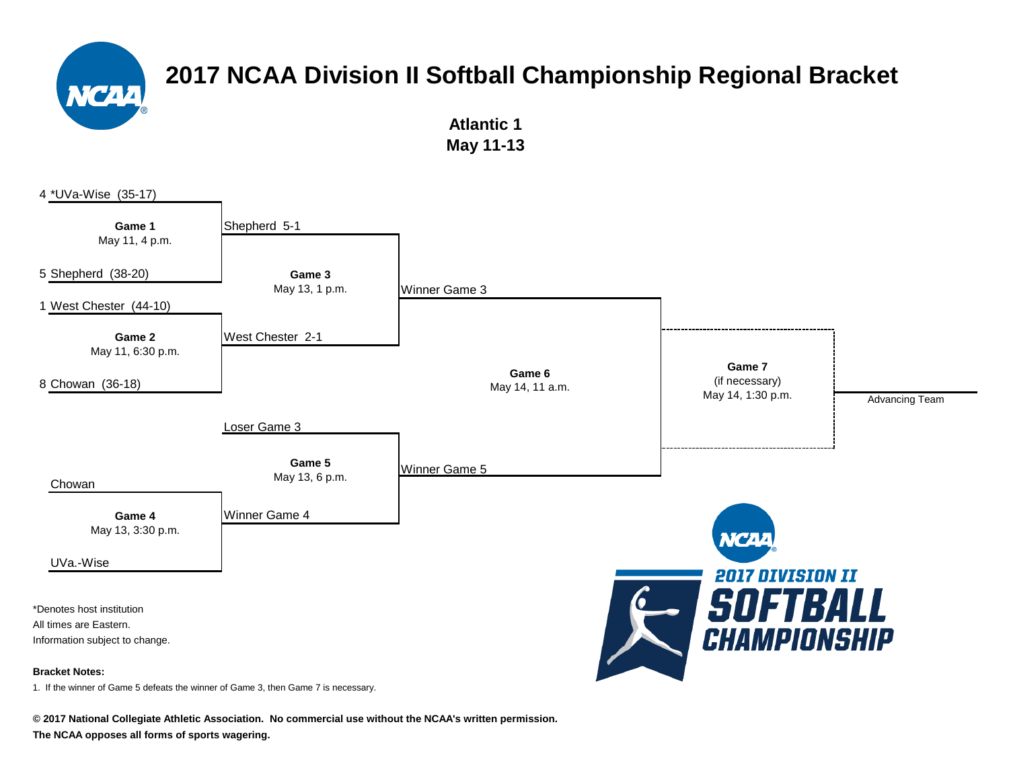> **Atlantic 1 May 11-13**



1. If the winner of Game 5 defeats the winner of Game 3, then Game 7 is necessary.

**© 2017 National Collegiate Athletic Association. No commercial use without the NCAA's written permission. The NCAA opposes all forms of sports wagering.**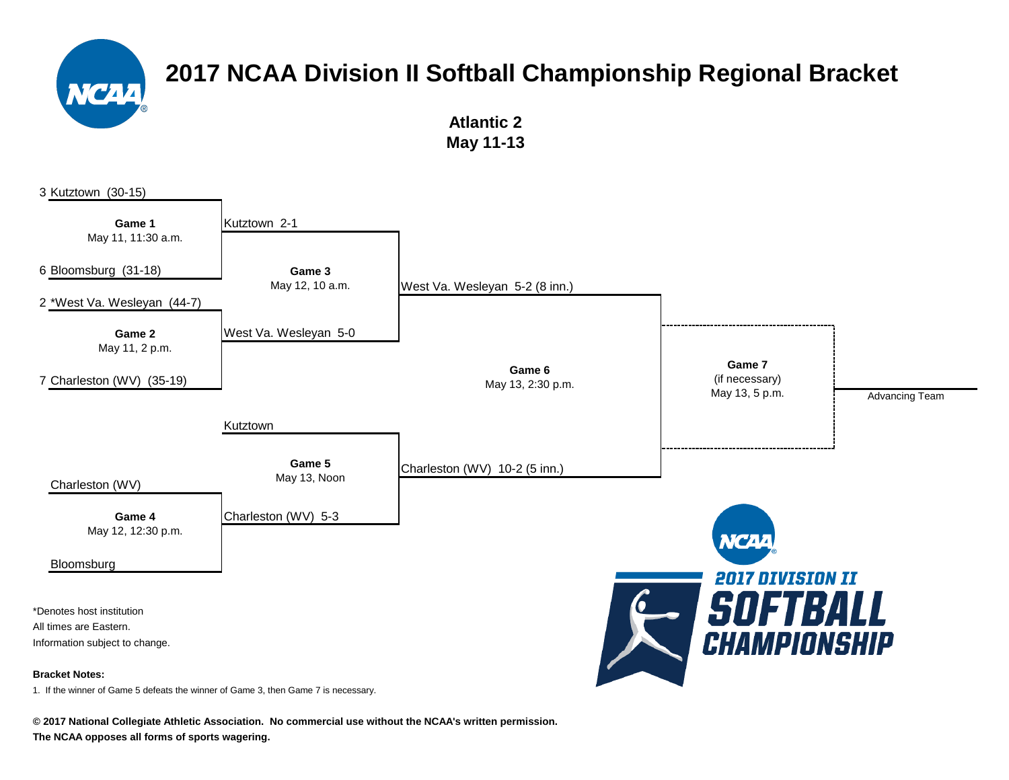**Atlantic 2 May 11-13**



**© 2017 National Collegiate Athletic Association. No commercial use without the NCAA's written permission.**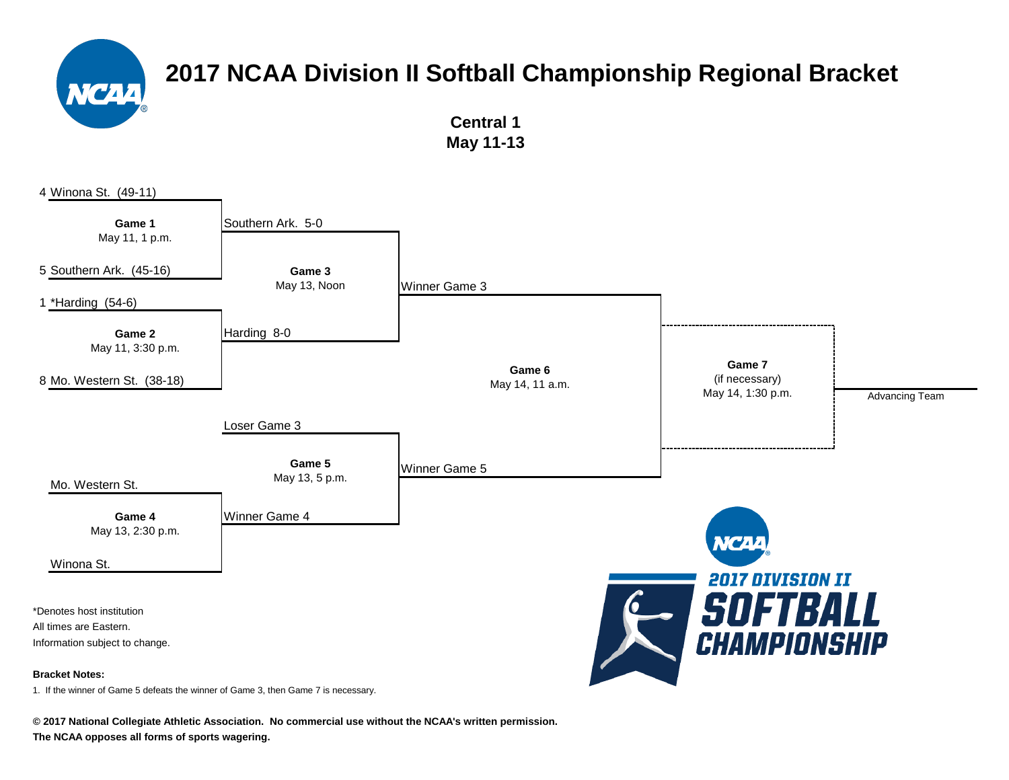**Central 1 May 11-13**



**© 2017 National Collegiate Athletic Association. No commercial use without the NCAA's written permission.**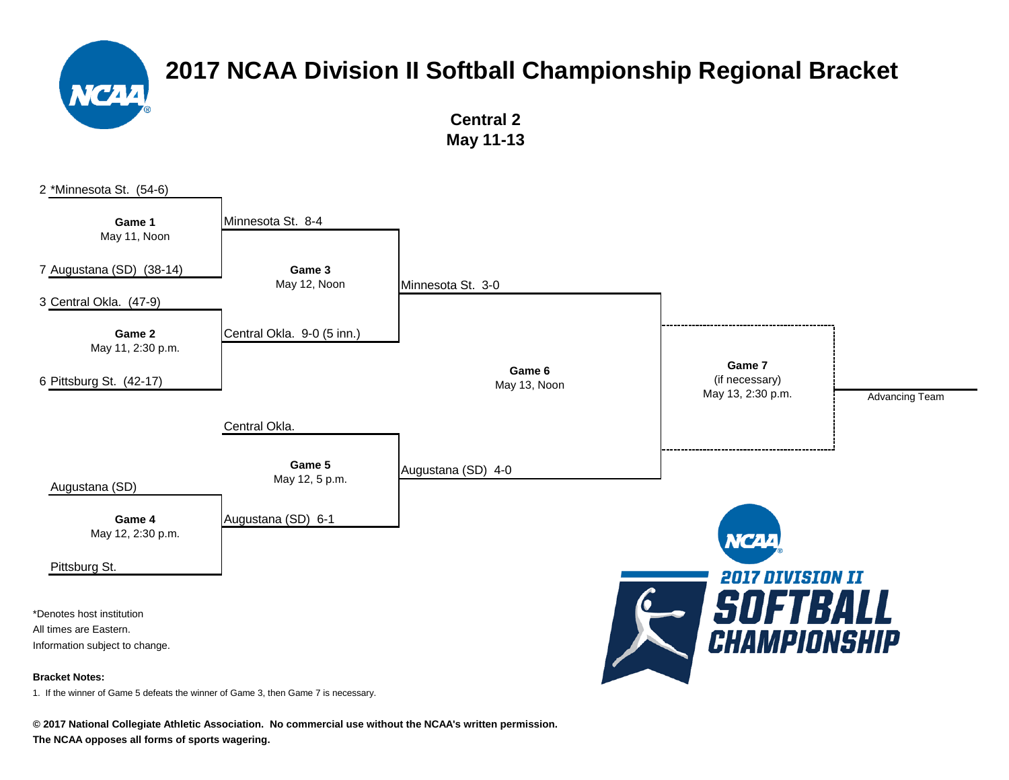

**Central 2 May 11-13**



**© 2017 National Collegiate Athletic Association. No commercial use without the NCAA's written permission.**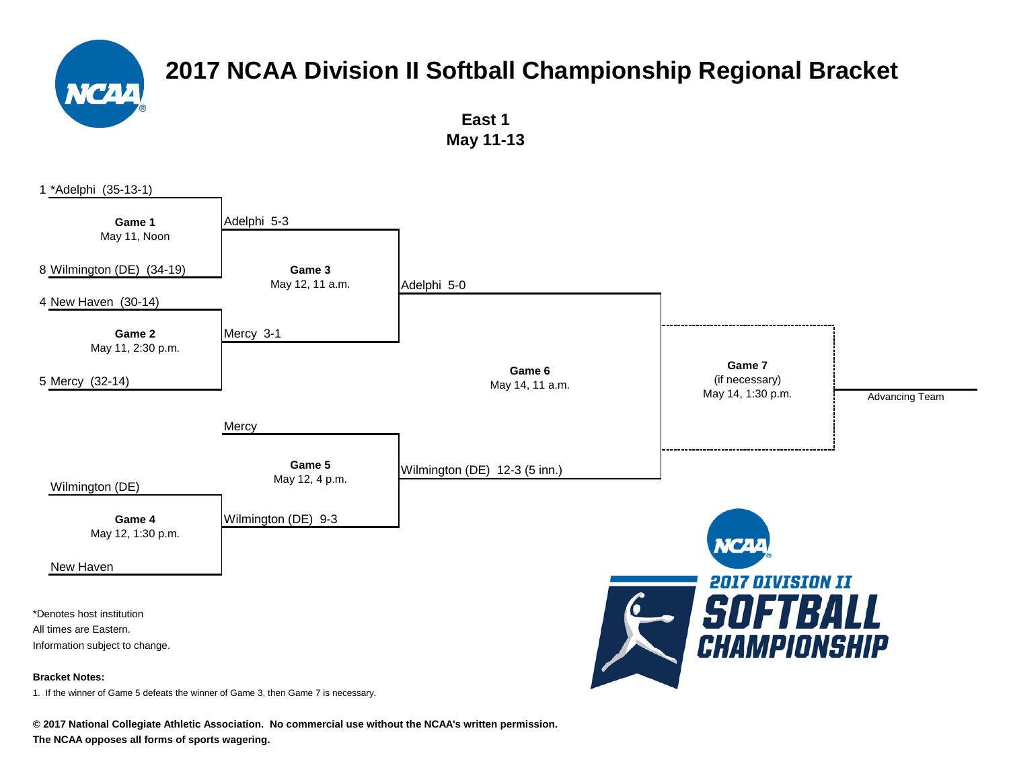

**East 1 May 11-13**



**© 2017 National Collegiate Athletic Association. No commercial use without the NCAA's written permission.**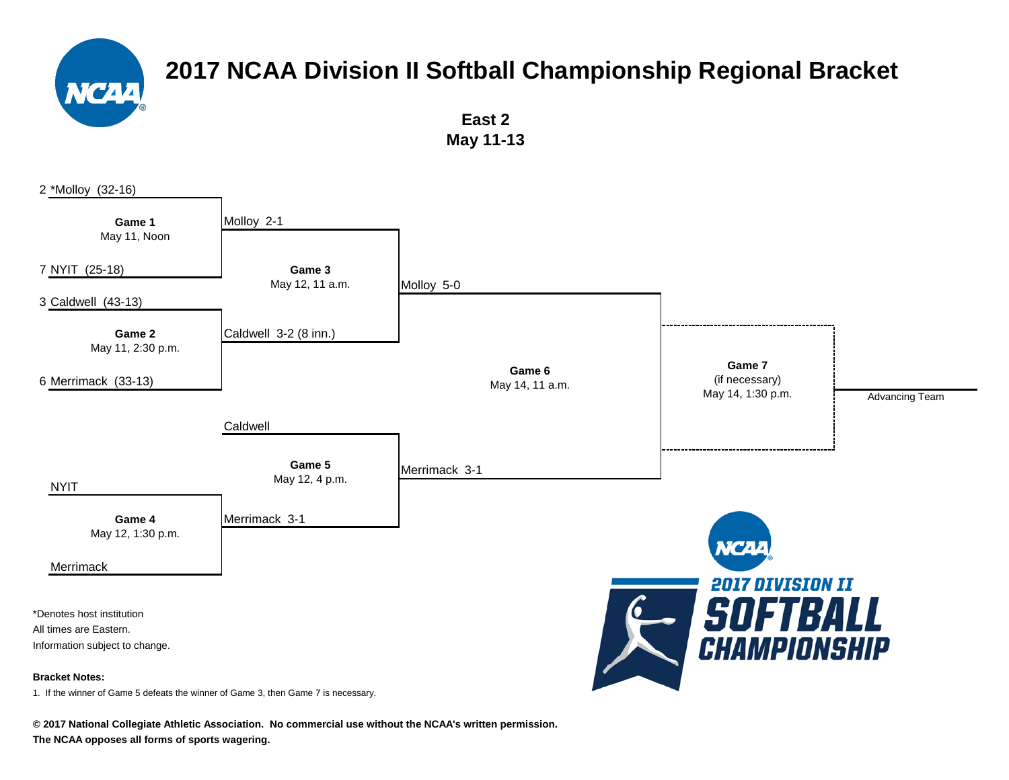

**East 2 May 11-13**



**© 2017 National Collegiate Athletic Association. No commercial use without the NCAA's written permission.**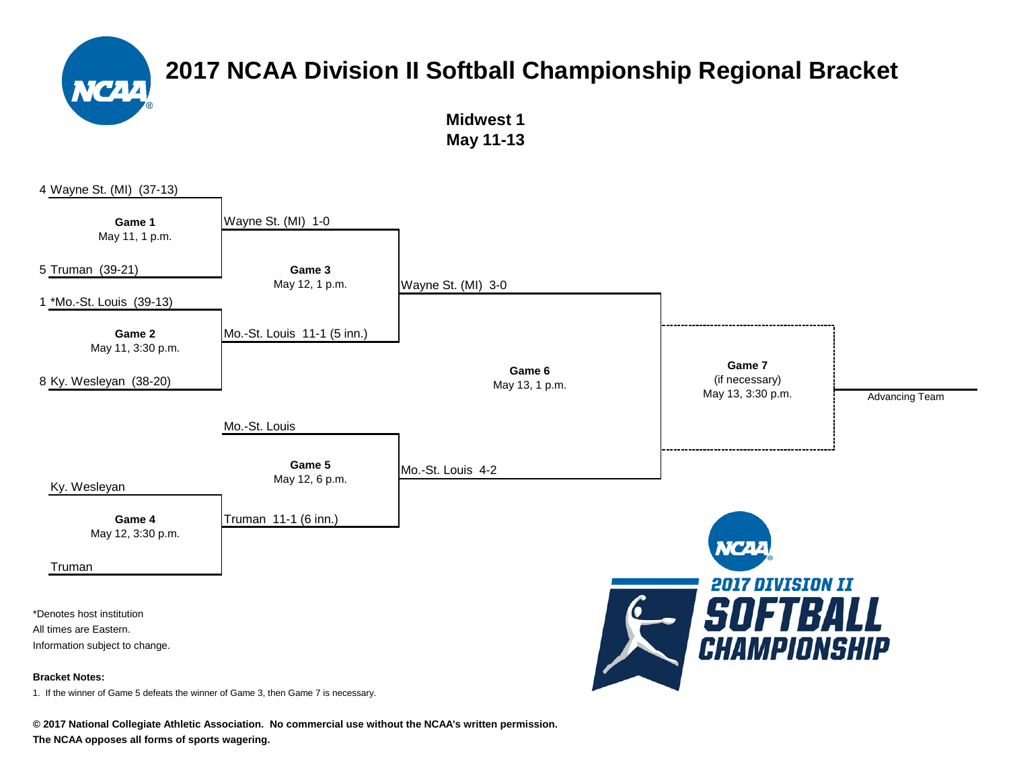> **Midwest 1 May 11-13**



**© 2017 National Collegiate Athletic Association. No commercial use without the NCAA's written permission.**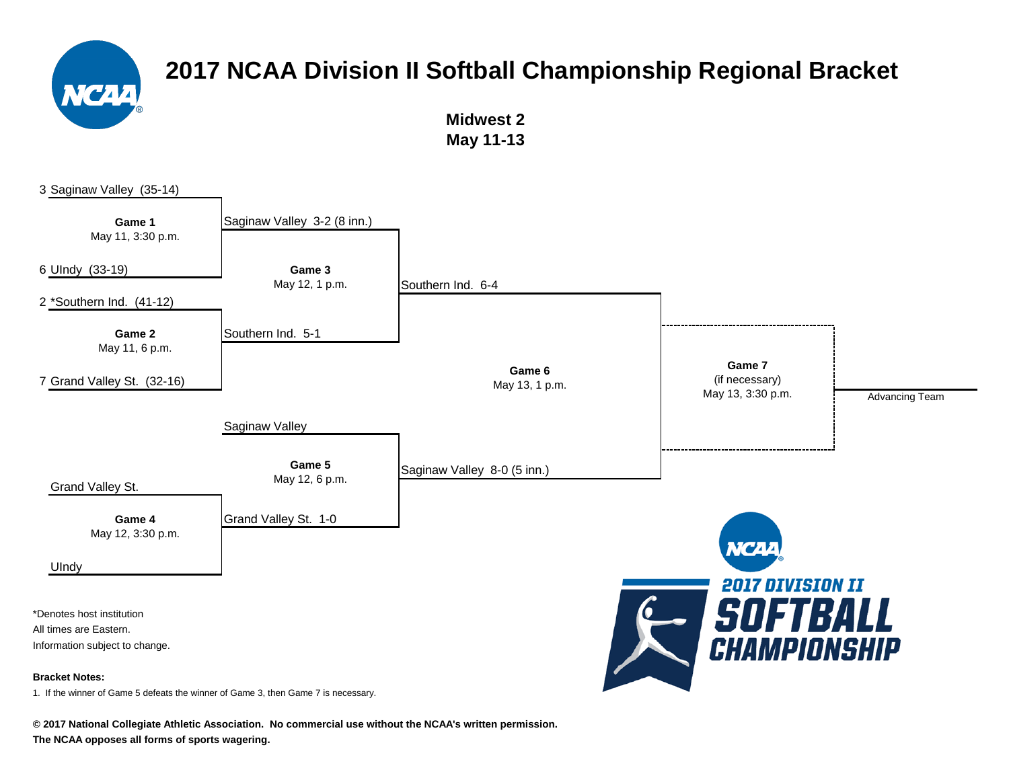

**Midwest 2 May 11-13**



**© 2017 National Collegiate Athletic Association. No commercial use without the NCAA's written permission.**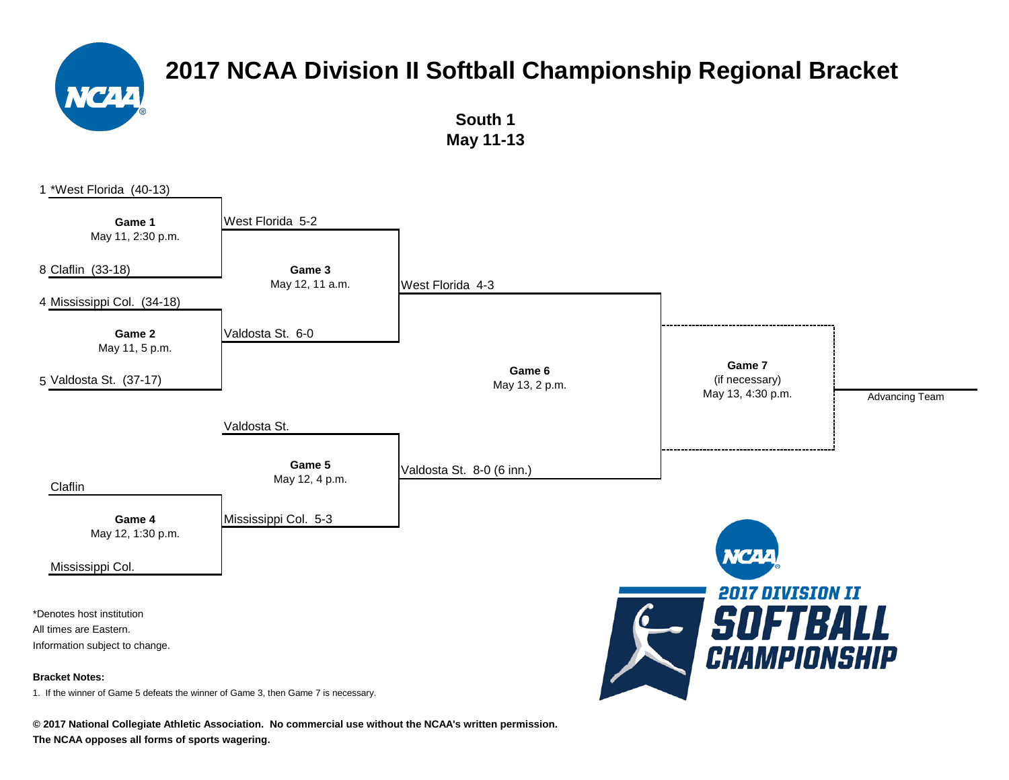

**South 1 May 11-13**

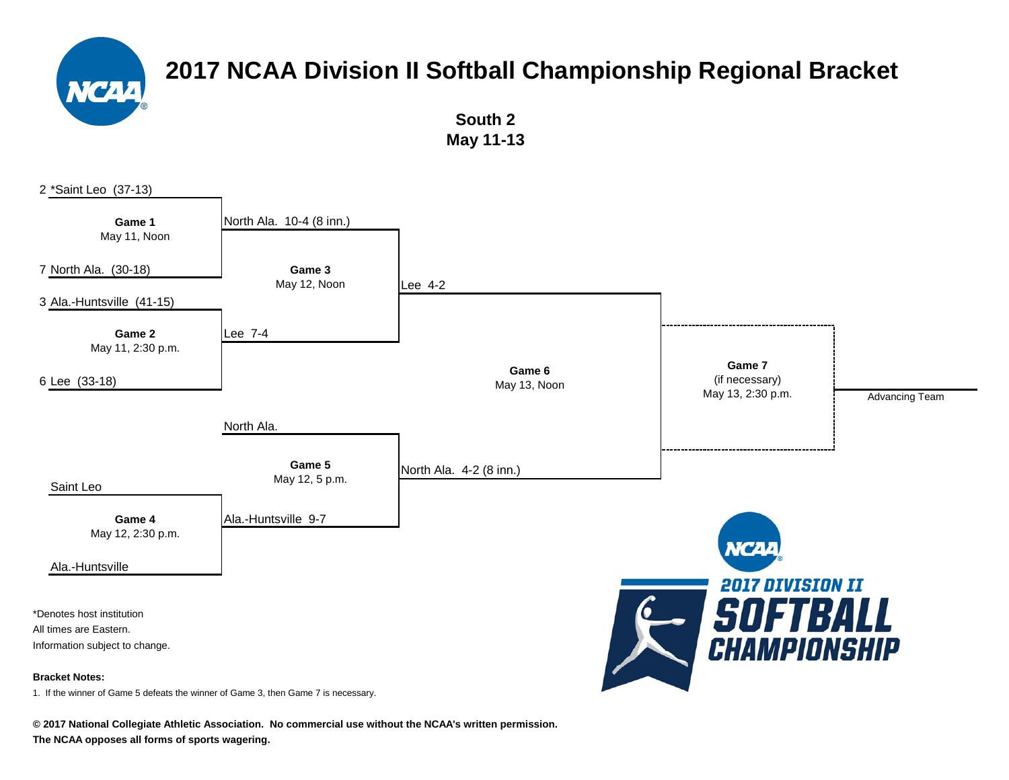**South 2 May 11-13**



**© 2017 National Collegiate Athletic Association. No commercial use without the NCAA's written permission.**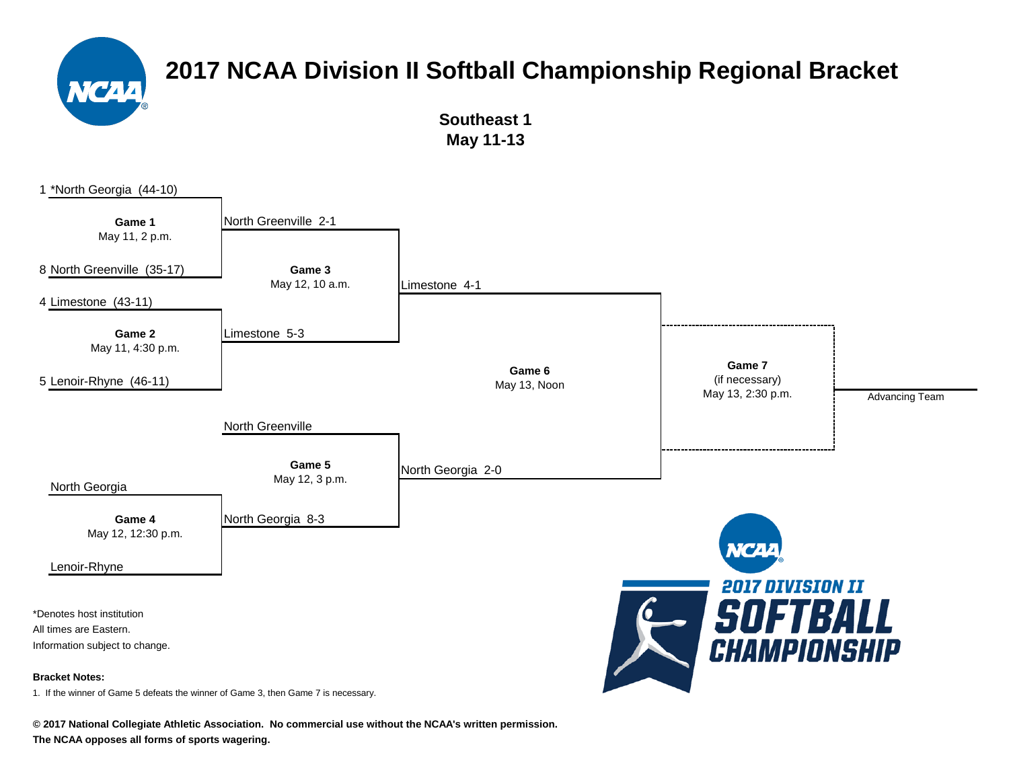

**Southeast 1 May 11-13**



**© 2017 National Collegiate Athletic Association. No commercial use without the NCAA's written permission.**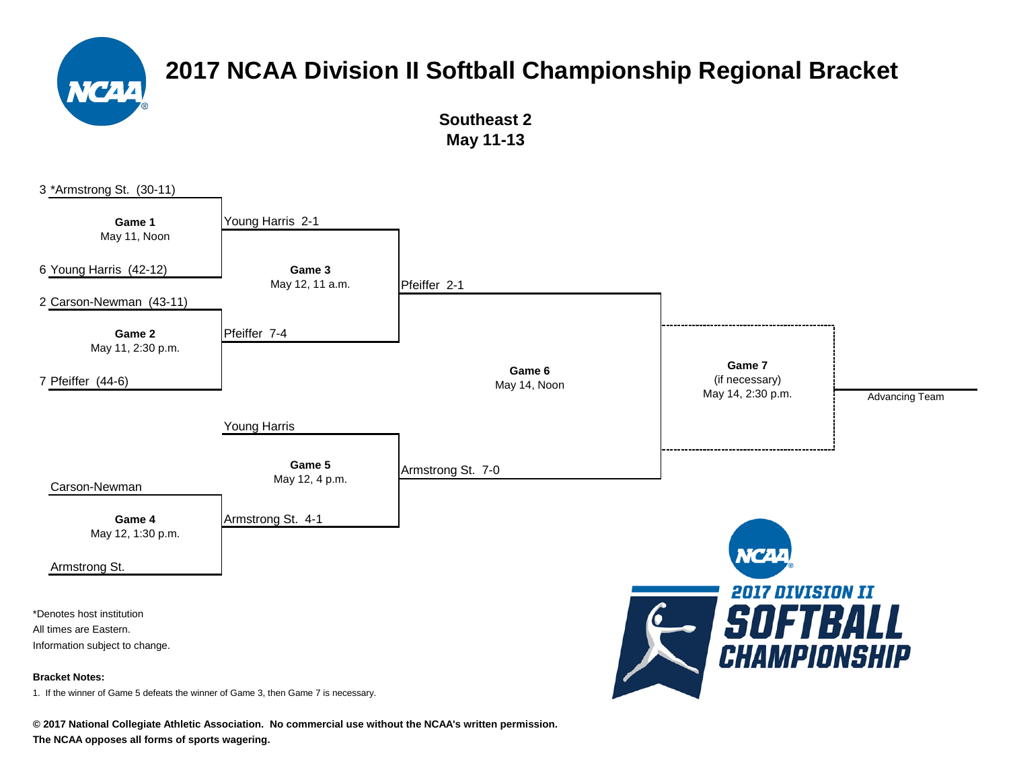

**Southeast 2 May 11-13**

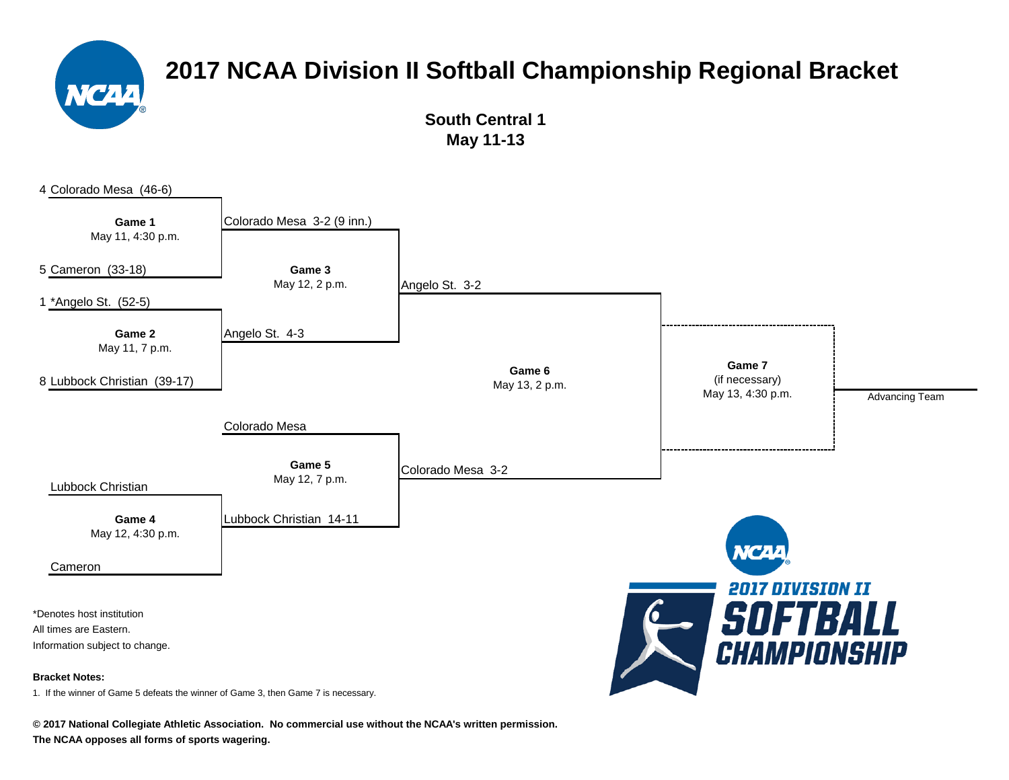

**South Central 1 May 11-13**



**© 2017 National Collegiate Athletic Association. No commercial use without the NCAA's written permission.**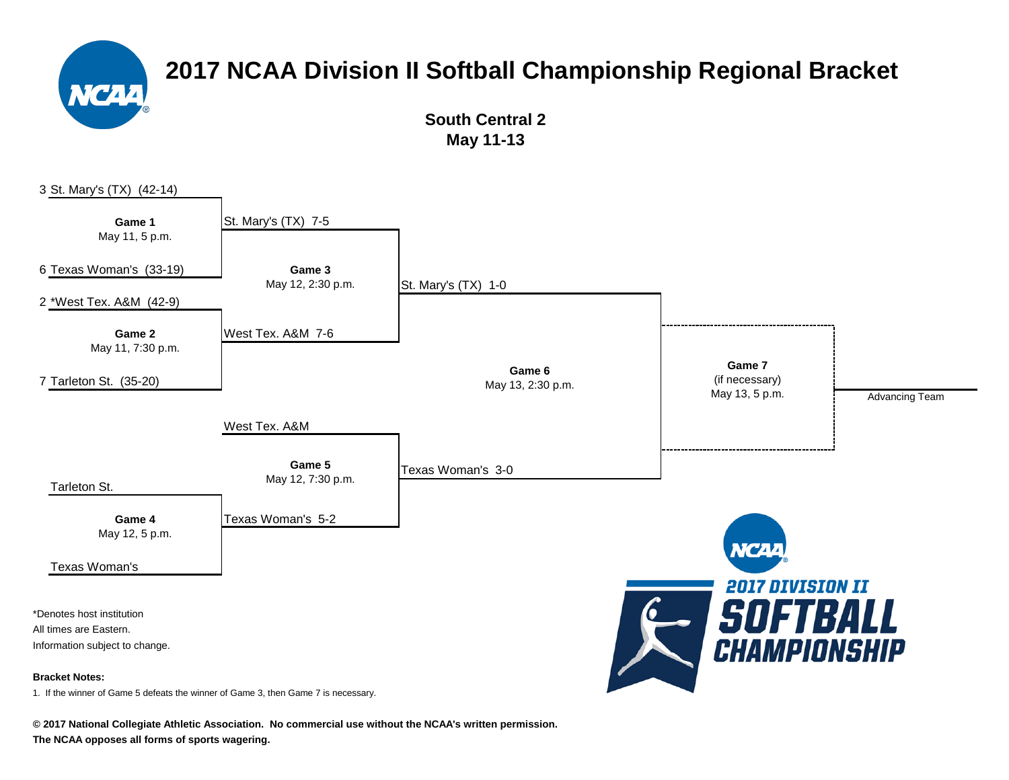

**South Central 2 May 11-13**

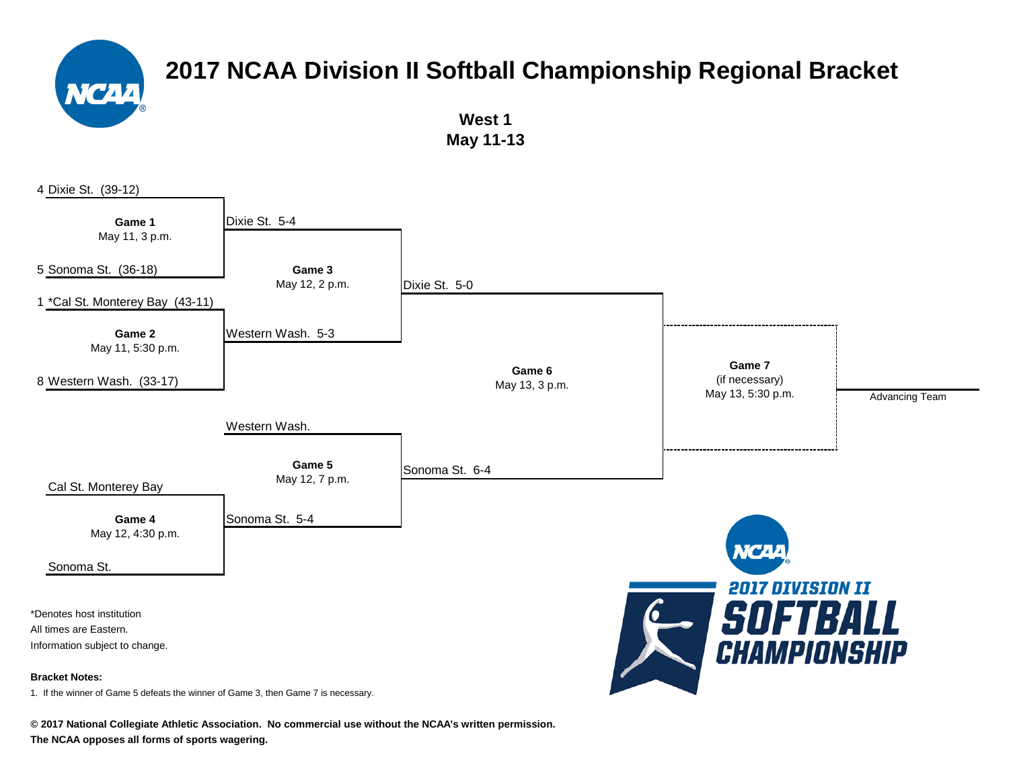

**West 1 May 11-13**